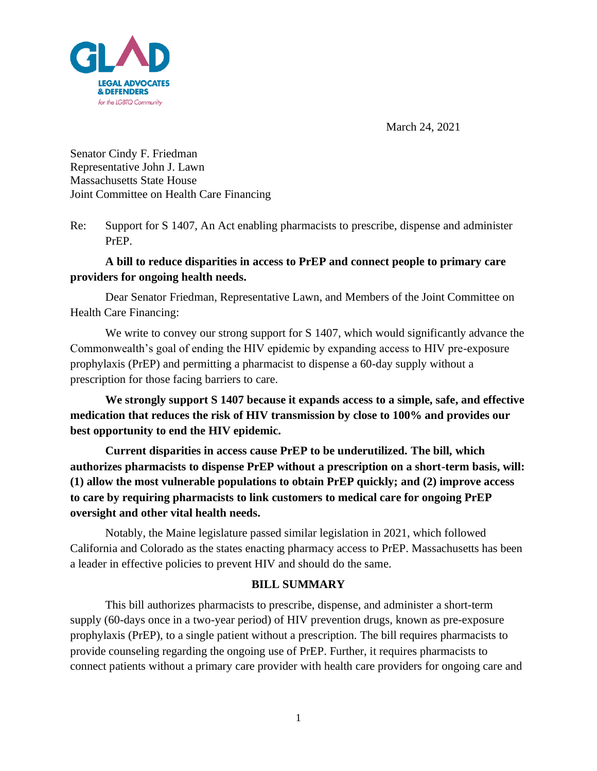

March 24, 2021

Senator Cindy F. Friedman Representative John J. Lawn Massachusetts State House Joint Committee on Health Care Financing

Re: Support for S 1407, An Act enabling pharmacists to prescribe, dispense and administer PrEP.

# **A bill to reduce disparities in access to PrEP and connect people to primary care providers for ongoing health needs.**

Dear Senator Friedman, Representative Lawn, and Members of the Joint Committee on Health Care Financing:

We write to convey our strong support for S 1407, which would significantly advance the Commonwealth's goal of ending the HIV epidemic by expanding access to HIV pre-exposure prophylaxis (PrEP) and permitting a pharmacist to dispense a 60-day supply without a prescription for those facing barriers to care.

**We strongly support S 1407 because it expands access to a simple, safe, and effective medication that reduces the risk of HIV transmission by close to 100% and provides our best opportunity to end the HIV epidemic.** 

**Current disparities in access cause PrEP to be underutilized. The bill, which authorizes pharmacists to dispense PrEP without a prescription on a short-term basis, will: (1) allow the most vulnerable populations to obtain PrEP quickly; and (2) improve access to care by requiring pharmacists to link customers to medical care for ongoing PrEP oversight and other vital health needs.**

Notably, the Maine legislature passed similar legislation in 2021, which followed California and Colorado as the states enacting pharmacy access to PrEP. Massachusetts has been a leader in effective policies to prevent HIV and should do the same.

#### **BILL SUMMARY**

This bill authorizes pharmacists to prescribe, dispense, and administer a short-term supply (60-days once in a two-year period) of HIV prevention drugs, known as pre-exposure prophylaxis (PrEP), to a single patient without a prescription. The bill requires pharmacists to provide counseling regarding the ongoing use of PrEP. Further, it requires pharmacists to connect patients without a primary care provider with health care providers for ongoing care and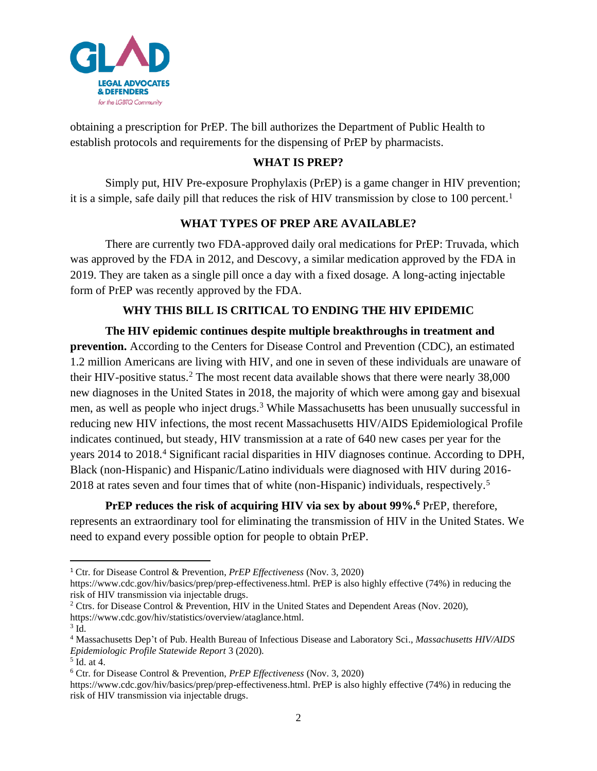

obtaining a prescription for PrEP. The bill authorizes the Department of Public Health to establish protocols and requirements for the dispensing of PrEP by pharmacists.

### **WHAT IS PREP?**

Simply put, HIV Pre-exposure Prophylaxis (PrEP) is a game changer in HIV prevention; it is a simple, safe daily pill that reduces the risk of HIV transmission by close to 100 percent.<sup>1</sup>

## **WHAT TYPES OF PREP ARE AVAILABLE?**

There are currently two FDA-approved daily oral medications for PrEP: Truvada, which was approved by the FDA in 2012, and Descovy, a similar medication approved by the FDA in 2019. They are taken as a single pill once a day with a fixed dosage. A long-acting injectable form of PrEP was recently approved by the FDA.

## **WHY THIS BILL IS CRITICAL TO ENDING THE HIV EPIDEMIC**

**The HIV epidemic continues despite multiple breakthroughs in treatment and prevention.** According to the Centers for Disease Control and Prevention (CDC), an estimated 1.2 million Americans are living with HIV, and one in seven of these individuals are unaware of their HIV-positive status.<sup>2</sup> The most recent data available shows that there were nearly 38,000 new diagnoses in the United States in 2018, the majority of which were among gay and bisexual men, as well as people who inject drugs.<sup>3</sup> While Massachusetts has been unusually successful in reducing new HIV infections, the most recent Massachusetts HIV/AIDS Epidemiological Profile indicates continued, but steady, HIV transmission at a rate of 640 new cases per year for the years 2014 to 2018.<sup>4</sup> Significant racial disparities in HIV diagnoses continue. According to DPH, Black (non-Hispanic) and Hispanic/Latino individuals were diagnosed with HIV during 2016- 2018 at rates seven and four times that of white (non-Hispanic) individuals, respectively.<sup>5</sup>

**PrEP reduces the risk of acquiring HIV via sex by about 99%. <sup>6</sup>** PrEP, therefore, represents an extraordinary tool for eliminating the transmission of HIV in the United States. We need to expand every possible option for people to obtain PrEP.

<sup>1</sup> Ctr. for Disease Control & Prevention, *PrEP Effectiveness* (Nov. 3, 2020)

https://www.cdc.gov/hiv/basics/prep/prep-effectiveness.html. PrEP is also highly effective (74%) in reducing the risk of HIV transmission via injectable drugs.

<sup>2</sup> Ctrs. for Disease Control & Prevention, HIV in the United States and Dependent Areas (Nov. 2020), https://www.cdc.gov/hiv/statistics/overview/ataglance.html.

 $3$  Id.

<sup>4</sup> Massachusetts Dep't of Pub. Health Bureau of Infectious Disease and Laboratory Sci., *Massachusetts HIV/AIDS Epidemiologic Profile Statewide Report* 3 (2020). 5 Id. at 4.

<sup>6</sup> Ctr. for Disease Control & Prevention, *PrEP Effectiveness* (Nov. 3, 2020)

https://www.cdc.gov/hiv/basics/prep/prep-effectiveness.html. PrEP is also highly effective (74%) in reducing the risk of HIV transmission via injectable drugs.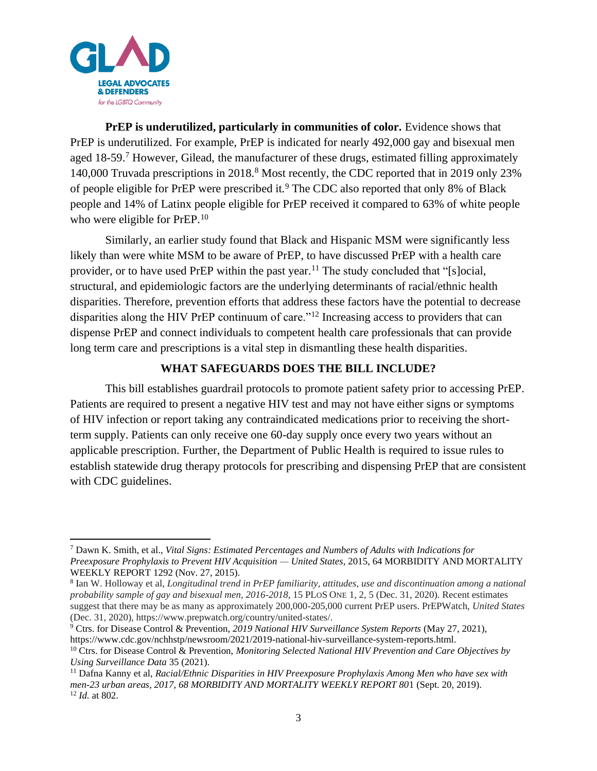

**PrEP is underutilized, particularly in communities of color.** Evidence shows that PrEP is underutilized. For example, PrEP is indicated for nearly 492,000 gay and bisexual men aged 18-59.<sup>7</sup> However, Gilead, the manufacturer of these drugs, estimated filling approximately 140,000 Truvada prescriptions in 2018.<sup>8</sup> Most recently, the CDC reported that in 2019 only 23% of people eligible for PrEP were prescribed it.<sup>9</sup> The CDC also reported that only 8% of Black people and 14% of Latinx people eligible for PrEP received it compared to 63% of white people who were eligible for PrEP.<sup>10</sup>

Similarly, an earlier study found that Black and Hispanic MSM were significantly less likely than were white MSM to be aware of PrEP, to have discussed PrEP with a health care provider, or to have used PrEP within the past year.<sup>11</sup> The study concluded that "[s]ocial, structural, and epidemiologic factors are the underlying determinants of racial/ethnic health disparities. Therefore, prevention efforts that address these factors have the potential to decrease disparities along the HIV PrEP continuum of care."<sup>12</sup> Increasing access to providers that can dispense PrEP and connect individuals to competent health care professionals that can provide long term care and prescriptions is a vital step in dismantling these health disparities.

#### **WHAT SAFEGUARDS DOES THE BILL INCLUDE?**

This bill establishes guardrail protocols to promote patient safety prior to accessing PrEP. Patients are required to present a negative HIV test and may not have either signs or symptoms of HIV infection or report taking any contraindicated medications prior to receiving the shortterm supply. Patients can only receive one 60-day supply once every two years without an applicable prescription. Further, the Department of Public Health is required to issue rules to establish statewide drug therapy protocols for prescribing and dispensing PrEP that are consistent with CDC guidelines.

<sup>7</sup> Dawn K. Smith, et al., *Vital Signs: Estimated Percentages and Numbers of Adults with Indications for Preexposure Prophylaxis to Prevent HIV Acquisition — United States*, 2015, 64 MORBIDITY AND MORTALITY WEEKLY REPORT 1292 (Nov. 27, 2015).

<sup>8</sup> Ian W. Holloway et al, *Longitudinal trend in PrEP familiarity, attitudes, use and discontinuation among a national probability sample of gay and bisexual men, 2016-2018*, 15 PLOS ONE 1, 2, 5 (Dec. 31, 2020). Recent estimates suggest that there may be as many as approximately 200,000-205,000 current PrEP users. PrEPWatch, *United States* (Dec. 31, 2020), https://www.prepwatch.org/country/united-states/.

<sup>9</sup> Ctrs. for Disease Control & Prevention, *2019 National HIV Surveillance System Reports* (May 27, 2021), https://www.cdc.gov/nchhstp/newsroom/2021/2019-national-hiv-surveillance-system-reports.html.

<sup>10</sup> Ctrs. for Disease Control & Prevention, *Monitoring Selected National HIV Prevention and Care Objectives by Using Surveillance Data* 35 (2021).

<sup>11</sup> Dafna Kanny et al, *Racial/Ethnic Disparities in HIV Preexposure Prophylaxis Among Men who have sex with men-23 urban areas, 2017, 68 MORBIDITY AND MORTALITY WEEKLY REPORT 80*1 (Sept. 20, 2019). <sup>12</sup> *Id.* at 802.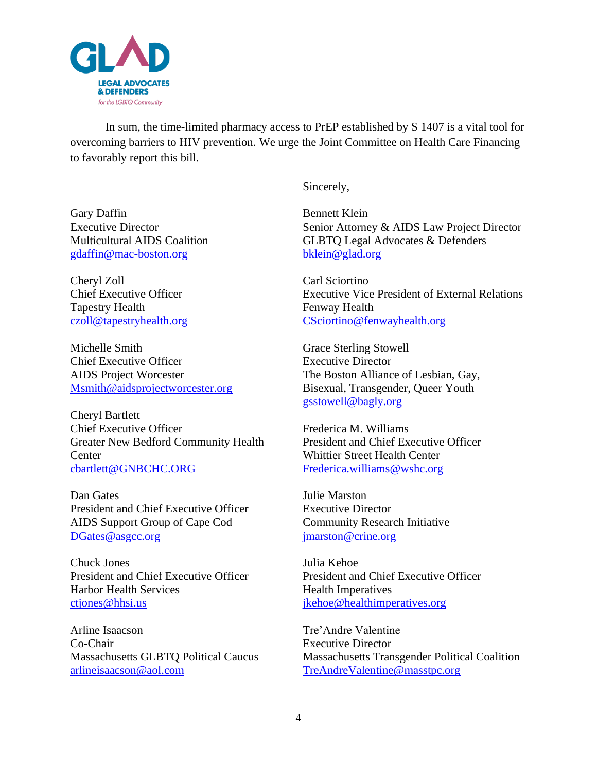

In sum, the time-limited pharmacy access to PrEP established by S 1407 is a vital tool for overcoming barriers to HIV prevention. We urge the Joint Committee on Health Care Financing to favorably report this bill.

Sincerely,

Bennett Klein Senior Attorney & AIDS Law Project Director GLBTQ Legal Advocates & Defenders [bklein@glad.org](mailto:bklein@glad.org)

Carl Sciortino Executive Vice President of External Relations Fenway Health [CSciortino@fenwayhealth.org](mailto:CSciortino@fenwayhealth.org)

Grace Sterling Stowell Executive Director The Boston Alliance of Lesbian, Gay, Bisexual, Transgender, Queer Youth [gsstowell@bagly.org](mailto:gsstowell@bagly.org)

Frederica M. Williams President and Chief Executive Officer Whittier Street Health Center [Frederica.williams@wshc.org](mailto:Frederica.williams@wshc.org)

Julie Marston Executive Director Community Research Initiative [jmarston@crine.org](mailto:jmarston@crine.org)

Julia Kehoe President and Chief Executive Officer Health Imperatives [jkehoe@healthimperatives.org](mailto:jkehoe@healthimperatives.org)

Tre'Andre Valentine Executive Director Massachusetts Transgender Political Coalition [TreAndreValentine@masstpc.org](mailto:TreAndreValentine@masstpc.org)

Gary Daffin Executive Director Multicultural AIDS Coalition [gdaffin@mac-boston.org](mailto:gdaffin@mac-boston.org)

Cheryl Zoll Chief Executive Officer Tapestry Health [czoll@tapestryhealth.org](mailto:czoll@tapestryhealth.org)

Michelle Smith Chief Executive Officer AIDS Project Worcester [Msmith@aidsprojectworcester.org](mailto:Msmith@aidsprojectworcester.org)

Cheryl Bartlett Chief Executive Officer Greater New Bedford Community Health **Center** [cbartlett@GNBCHC.ORG](mailto:cbartlett@GNBCHC.ORG)

Dan Gates President and Chief Executive Officer AIDS Support Group of Cape Cod [DGates@asgcc.org](mailto:DGates@asgcc.org)

Chuck Jones President and Chief Executive Officer Harbor Health Services [ctjones@hhsi.us](mailto:ctjones@hhsi.us)

Arline Isaacson Co-Chair Massachusetts GLBTQ Political Caucus [arlineisaacson@aol.com](mailto:arlineisaacson@aol.com)